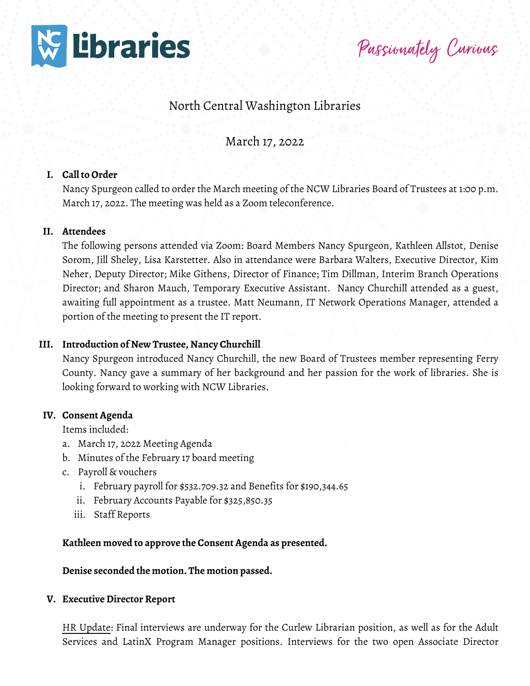

Passionately Curious

# North Central Washington Libraries

March 17, 2022

#### **I. Call to Order**

Nancy Spurgeon called to order the March meeting of the NCW Libraries Board of Trustees at 1:00 p.m. March 17, 2022. The meeting was held as a Zoom teleconference.

#### **II. Attendees**

The following persons attended via Zoom: Board Members Nancy Spurgeon, Kathleen Allstot, Denise Sorom, Jill Sheley, Lisa Karstetter. Also in attendance were Barbara Walters, Executive Director, Kim Neher, Deputy Director; Mike Githens, Director of Finance; Tim Dillman, Interim Branch Operations Director; and Sharon Mauch, Temporary Executive Assistant. Nancy Churchill attended as a guest, awaiting full appointment as a trustee. Matt Neumann, IT Network Operations Manager, attended a portion of the meeting to present the IT report.

#### **III. Introduction of New Trustee, Nancy Churchill**

Nancy Spurgeon introduced Nancy Churchill, the new Board of Trustees member representing Ferry County. Nancy gave a summary of her background and her passion for the work of libraries. She is looking forward to working with NCW Libraries.

#### **IV. Consent Agenda**

Items included:

- a. March 17, 2022 Meeting Agenda
- b. Minutes of the February 17 board meeting
- c. Payroll & vouchers
	- i. February payroll for \$532.709.32 and Benefits for \$190,344.65
	- ii. February Accounts Payable for \$325,850.35
	- iii. Staff Reports

**Kathleen moved to approve the Consent Agenda as presented.**

**Denise seconded the motion. The motion passed.**

#### **V. Executive Director Report**

HR Update: Final interviews are underway for the Curlew Librarian position, as well as for the Adult Services and LatinX Program Manager positions. Interviews for the two open Associate Director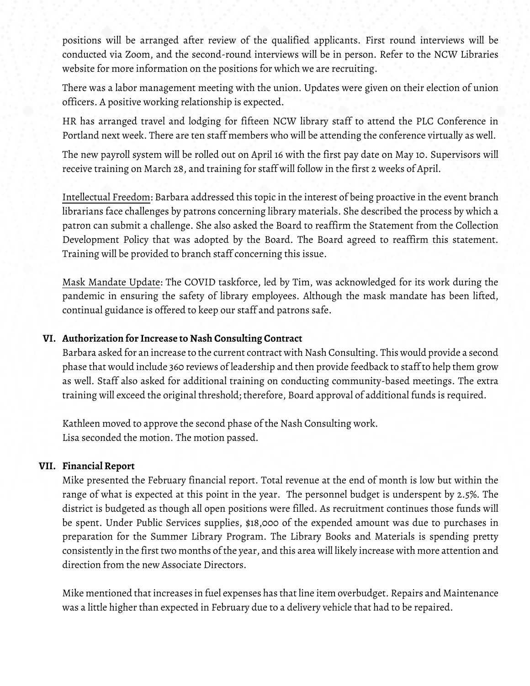positions will be arranged after review of the qualified applicants. First round interviews will be conducted via Zoom, and the second-round interviews will be in person. Refer to the NCW Libraries website for more information on the positions for which we are recruiting.

There was a labor management meeting with the union. Updates were given on their election of union officers. A positive working relationship is expected.

HR has arranged travel and lodging for fifteen NCW library staff to attend the PLC Conference in Portland next week. There are ten staff members who will be attending the conference virtually as well.

The new payroll system will be rolled out on April 16 with the first pay date on May 10. Supervisors will receive training on March 28, and training for staff will follow in the first 2 weeks of April.

Intellectual Freedom: Barbara addressed this topic in the interest of being proactive in the event branch librarians face challenges by patrons concerning library materials. She described the process by which a patron can submit a challenge. She also asked the Board to reaffirm the Statement from the Collection Development Policy that was adopted by the Board. The Board agreed to reaffirm this statement. Training will be provided to branch staff concerning this issue.

Mask Mandate Update: The COVID taskforce, led by Tim, was acknowledged for its work during the pandemic in ensuring the safety of library employees. Although the mask mandate has been lifted, continual guidance is offered to keep our staff and patrons safe.

## **VI. Authorization for Increase to Nash Consulting Contract**

Barbara asked for an increase to the current contract with Nash Consulting. This would provide a second phase that would include 360 reviews of leadership and then provide feedback to staff to help them grow as well. Staff also asked for additional training on conducting community-based meetings. The extra training will exceed the original threshold; therefore, Board approval of additional funds is required.

Kathleen moved to approve the second phase of the Nash Consulting work. Lisa seconded the motion. The motion passed.

#### **VII. Financial Report**

Mike presented the February financial report. Total revenue at the end of month is low but within the range of what is expected at this point in the year. The personnel budget is underspent by 2.5%. The district is budgeted as though all open positions were filled. As recruitment continues those funds will be spent. Under Public Services supplies, \$18,000 of the expended amount was due to purchases in preparation for the Summer Library Program. The Library Books and Materials is spending pretty consistently in the first two months of the year, and this area will likely increase with more attention and direction from the new Associate Directors.

Mike mentioned that increases in fuel expenses has that line item overbudget. Repairs and Maintenance was a little higher than expected in February due to a delivery vehicle that had to be repaired.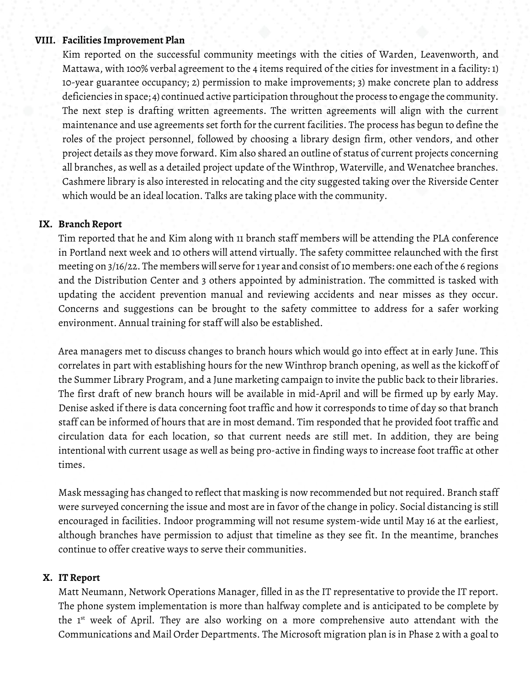## **VIII. Facilities Improvement Plan**

Kim reported on the successful community meetings with the cities of Warden, Leavenworth, and Mattawa, with 100% verbal agreement to the 4 items required of the cities for investment in a facility: 1) 10-year guarantee occupancy; 2) permission to make improvements; 3) make concrete plan to address deficiencies in space; 4) continued active participation throughout the process to engage the community. The next step is drafting written agreements. The written agreements will align with the current maintenance and use agreements set forth for the current facilities. The process has begun to define the roles of the project personnel, followed by choosing a library design firm, other vendors, and other project details as they move forward. Kim also shared an outline of status of current projects concerning all branches, as well as a detailed project update of the Winthrop, Waterville, and Wenatchee branches. Cashmere library is also interested in relocating and the city suggested taking over the Riverside Center which would be an ideal location. Talks are taking place with the community.

### **IX. Branch Report**

Tim reported that he and Kim along with 11 branch staff members will be attending the PLA conference in Portland next week and 10 others will attend virtually. The safety committee relaunched with the first meeting on 3/16/22. The members will serve for 1 year and consist of 10 members: one each of the 6 regions and the Distribution Center and 3 others appointed by administration. The committed is tasked with updating the accident prevention manual and reviewing accidents and near misses as they occur. Concerns and suggestions can be brought to the safety committee to address for a safer working environment. Annual training for staff will also be established.

Area managers met to discuss changes to branch hours which would go into effect at in early June. This correlates in part with establishing hours for the new Winthrop branch opening, as well as the kickoff of the Summer Library Program, and a June marketing campaign to invite the public back to their libraries. The first draft of new branch hours will be available in mid-April and will be firmed up by early May. Denise asked if there is data concerning foot traffic and how it corresponds to time of day so that branch staff can be informed of hours that are in most demand. Tim responded that he provided foot traffic and circulation data for each location, so that current needs are still met. In addition, they are being intentional with current usage as well as being pro-active in finding ways to increase foot traffic at other times.

Mask messaging has changed to reflect that masking is now recommended but not required. Branch staff were surveyed concerning the issue and most are in favor of the change in policy. Social distancing is still encouraged in facilities. Indoor programming will not resume system-wide until May 16 at the earliest, although branches have permission to adjust that timeline as they see fit. In the meantime, branches continue to offer creative ways to serve their communities.

#### **X. IT Report**

Matt Neumann, Network Operations Manager, filled in as the IT representative to provide the IT report. The phone system implementation is more than halfway complete and is anticipated to be complete by the 1<sup>st</sup> week of April. They are also working on a more comprehensive auto attendant with the Communications and Mail Order Departments. The Microsoft migration plan is in Phase 2 with a goal to